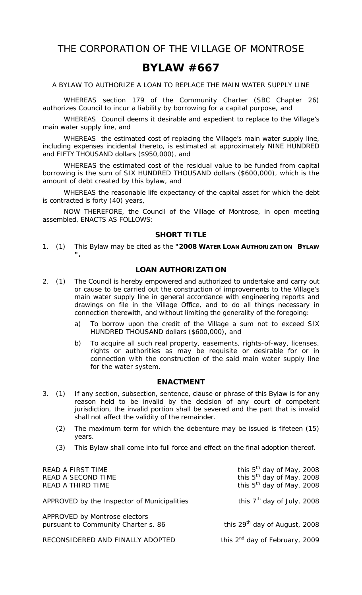THE CORPORATION OF THE VILLAGE OF MONTROSE

## **BYLAW #667**

A BYLAW TO AUTHORIZE A LOAN TO REPLACE THE MAIN WATER SUPPLY LINE

WHEREAS section 179 of the *Community Charter* (SBC Chapter 26) authorizes Council to incur a liability by borrowing for a capital purpose, and

 WHEREAS Council deems it desirable and expedient to replace to the Village's main water supply line, and

 WHEREAS the estimated cost of replacing the Village's main water supply line, including expenses incidental thereto, is estimated at approximately NINE HUNDRED and FIFTY THOUSAND dollars (\$950,000), and

 WHEREAS the estimated cost of the residual value to be funded from capital borrowing is the sum of SIX HUNDRED THOUSAND dollars (\$600,000), which is the amount of debt created by this bylaw, and

 WHEREAS the reasonable life expectancy of the capital asset for which the debt is contracted is forty (40) years,

 NOW THEREFORE, the Council of the Village of Montrose, in open meeting assembled, ENACTS AS FOLLOWS:

## **SHORT TITLE**

1. (1) This Bylaw may be cited as the **"2008 WATER LOAN AUTHORIZATION BYLAW ".** 

## **LOAN AUTHORIZATION**

- 2. (1) The Council is hereby empowered and authorized to undertake and carry out or cause to be carried out the construction of improvements to the Village's main water supply line in general accordance with engineering reports and drawings on file in the Village Office, and to do all things necessary in connection therewith, and without limiting the generality of the foregoing:
	- a) To borrow upon the credit of the Village a sum not to exceed SIX HUNDRED THOUSAND dollars (\$600,000), and
	- b) To acquire all such real property, easements, rights-of-way, licenses, rights or authorities as may be requisite or desirable for or in connection with the construction of the said main water supply line for the water system.

## **ENACTMENT**

- 3. (1) If any section, subsection, sentence, clause or phrase of this Bylaw is for any reason held to be invalid by the decision of any court of competent jurisdiction, the invalid portion shall be severed and the part that is invalid shall not affect the validity of the remainder.
	- (2) The maximum term for which the debenture may be issued is fifeteen (15) years.
	- (3) This Bylaw shall come into full force and effect on the final adoption thereof.

| READ A FIRST TIME<br>READ A SECOND TIME<br>READ A THIRD TIME         | this 5 <sup>th</sup> day of May, 2008<br>this $5th$ day of May, 2008<br>this 5 <sup>th</sup> day of May, 2008 |
|----------------------------------------------------------------------|---------------------------------------------------------------------------------------------------------------|
| APPROVED by the Inspector of Municipalities                          | this 7 <sup>th</sup> day of July, 2008                                                                        |
| APPROVED by Montrose electors<br>pursuant to Community Charter s. 86 | this $29th$ day of August, 2008                                                                               |
| RECONSIDERED AND FINALLY ADOPTED                                     | this $2^{nd}$ day of February, 2009                                                                           |